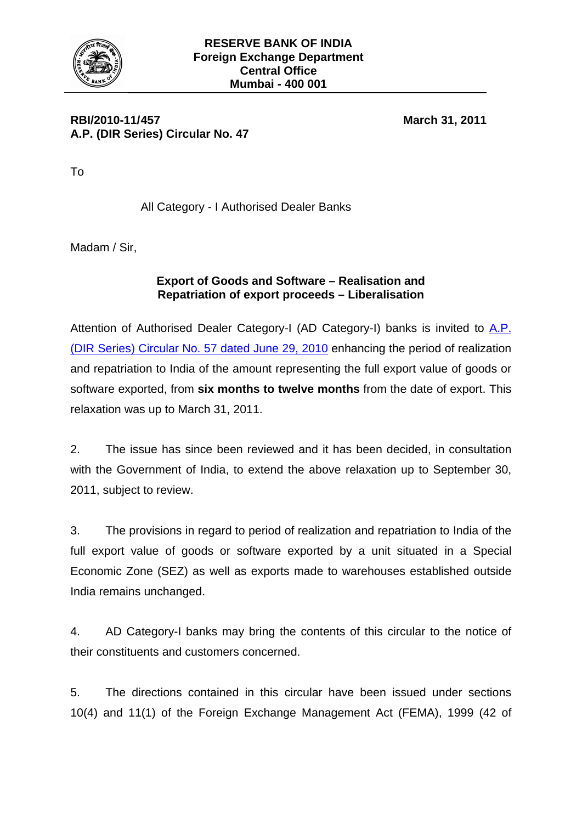

## **RBI/2010-11/ 457 March 31, 2011 A.P. (DIR Series) Circular No. 47**

To

All Category - I Authorised Dealer Banks

Madam / Sir,

## **Export of Goods and Software – Realisation and Repatriation of export proceeds – Liberalisation**

Attention of Authorised Dealer Category-I (AD Category-I) banks is invited to A.P. [\(DIR Series\) Circular No. 57 dated June 29, 2010](http://www.rbi.org.in/Scripts/NotificationUser.aspx?Id=5749&Mode=0) enhancing the period of realization and repatriation to India of the amount representing the full export value of goods or software exported, from **six months to twelve months** from the date of export. This relaxation was up to March 31, 2011.

2. The issue has since been reviewed and it has been decided, in consultation with the Government of India, to extend the above relaxation up to September 30, 2011, subject to review.

3. The provisions in regard to period of realization and repatriation to India of the full export value of goods or software exported by a unit situated in a Special Economic Zone (SEZ) as well as exports made to warehouses established outside India remains unchanged.

4. AD Category-I banks may bring the contents of this circular to the notice of their constituents and customers concerned.

5. The directions contained in this circular have been issued under sections 10(4) and 11(1) of the Foreign Exchange Management Act (FEMA), 1999 (42 of